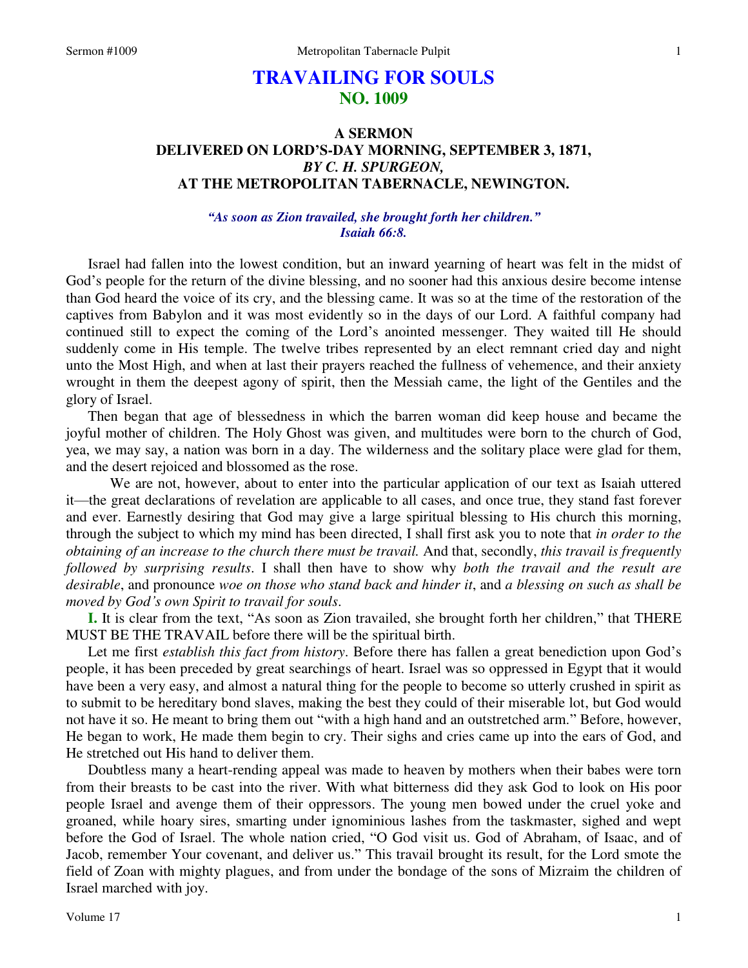# **TRAVAILING FOR SOULS NO. 1009**

# **A SERMON DELIVERED ON LORD'S-DAY MORNING, SEPTEMBER 3, 1871,**  *BY C. H. SPURGEON,*  **AT THE METROPOLITAN TABERNACLE, NEWINGTON.**

## *"As soon as Zion travailed, she brought forth her children." Isaiah 66:8.*

Israel had fallen into the lowest condition, but an inward yearning of heart was felt in the midst of God's people for the return of the divine blessing, and no sooner had this anxious desire become intense than God heard the voice of its cry, and the blessing came. It was so at the time of the restoration of the captives from Babylon and it was most evidently so in the days of our Lord. A faithful company had continued still to expect the coming of the Lord's anointed messenger. They waited till He should suddenly come in His temple. The twelve tribes represented by an elect remnant cried day and night unto the Most High, and when at last their prayers reached the fullness of vehemence, and their anxiety wrought in them the deepest agony of spirit, then the Messiah came, the light of the Gentiles and the glory of Israel.

Then began that age of blessedness in which the barren woman did keep house and became the joyful mother of children. The Holy Ghost was given, and multitudes were born to the church of God, yea, we may say, a nation was born in a day. The wilderness and the solitary place were glad for them, and the desert rejoiced and blossomed as the rose.

 We are not, however, about to enter into the particular application of our text as Isaiah uttered it—the great declarations of revelation are applicable to all cases, and once true, they stand fast forever and ever. Earnestly desiring that God may give a large spiritual blessing to His church this morning, through the subject to which my mind has been directed, I shall first ask you to note that *in order to the obtaining of an increase to the church there must be travail.* And that, secondly, *this travail is frequently followed by surprising results*. I shall then have to show why *both the travail and the result are desirable*, and pronounce *woe on those who stand back and hinder it*, and *a blessing on such as shall be moved by God's own Spirit to travail for souls*.

**I.** It is clear from the text, "As soon as Zion travailed, she brought forth her children," that THERE MUST BE THE TRAVAIL before there will be the spiritual birth.

Let me first *establish this fact from history*. Before there has fallen a great benediction upon God's people, it has been preceded by great searchings of heart. Israel was so oppressed in Egypt that it would have been a very easy, and almost a natural thing for the people to become so utterly crushed in spirit as to submit to be hereditary bond slaves, making the best they could of their miserable lot, but God would not have it so. He meant to bring them out "with a high hand and an outstretched arm." Before, however, He began to work, He made them begin to cry. Their sighs and cries came up into the ears of God, and He stretched out His hand to deliver them.

Doubtless many a heart-rending appeal was made to heaven by mothers when their babes were torn from their breasts to be cast into the river. With what bitterness did they ask God to look on His poor people Israel and avenge them of their oppressors. The young men bowed under the cruel yoke and groaned, while hoary sires, smarting under ignominious lashes from the taskmaster, sighed and wept before the God of Israel. The whole nation cried, "O God visit us. God of Abraham, of Isaac, and of Jacob, remember Your covenant, and deliver us." This travail brought its result, for the Lord smote the field of Zoan with mighty plagues, and from under the bondage of the sons of Mizraim the children of Israel marched with joy.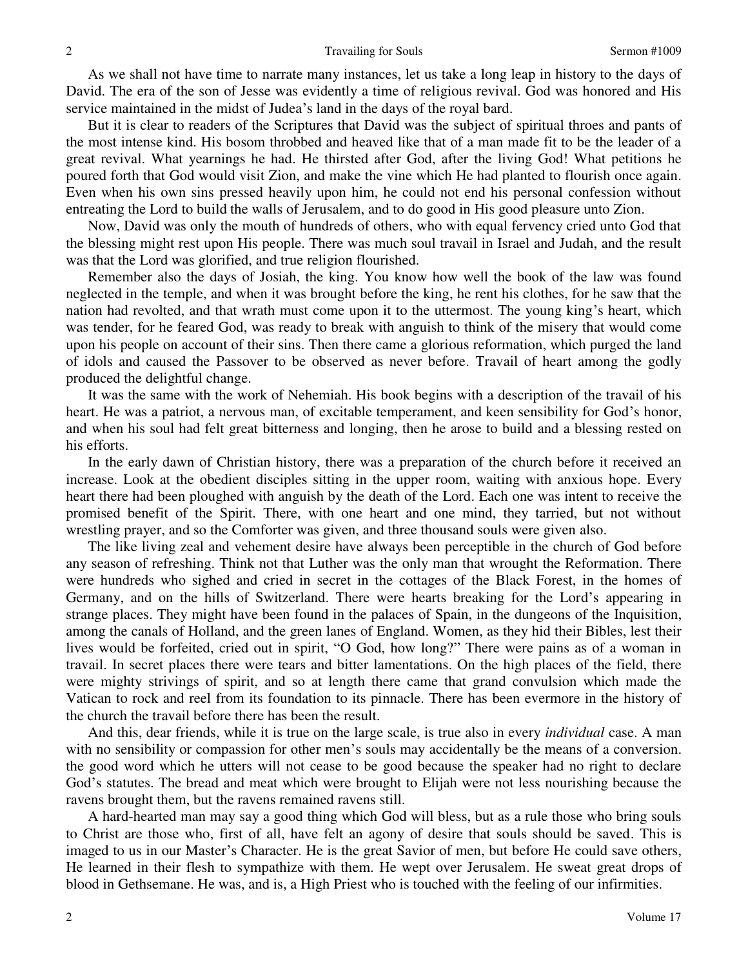As we shall not have time to narrate many instances, let us take a long leap in history to the days of David. The era of the son of Jesse was evidently a time of religious revival. God was honored and His service maintained in the midst of Judea's land in the days of the royal bard.

But it is clear to readers of the Scriptures that David was the subject of spiritual throes and pants of the most intense kind. His bosom throbbed and heaved like that of a man made fit to be the leader of a great revival. What yearnings he had. He thirsted after God, after the living God! What petitions he poured forth that God would visit Zion, and make the vine which He had planted to flourish once again. Even when his own sins pressed heavily upon him, he could not end his personal confession without entreating the Lord to build the walls of Jerusalem, and to do good in His good pleasure unto Zion.

Now, David was only the mouth of hundreds of others, who with equal fervency cried unto God that the blessing might rest upon His people. There was much soul travail in Israel and Judah, and the result was that the Lord was glorified, and true religion flourished.

Remember also the days of Josiah, the king. You know how well the book of the law was found neglected in the temple, and when it was brought before the king, he rent his clothes, for he saw that the nation had revolted, and that wrath must come upon it to the uttermost. The young king's heart, which was tender, for he feared God, was ready to break with anguish to think of the misery that would come upon his people on account of their sins. Then there came a glorious reformation, which purged the land of idols and caused the Passover to be observed as never before. Travail of heart among the godly produced the delightful change.

It was the same with the work of Nehemiah. His book begins with a description of the travail of his heart. He was a patriot, a nervous man, of excitable temperament, and keen sensibility for God's honor, and when his soul had felt great bitterness and longing, then he arose to build and a blessing rested on his efforts.

In the early dawn of Christian history, there was a preparation of the church before it received an increase. Look at the obedient disciples sitting in the upper room, waiting with anxious hope. Every heart there had been ploughed with anguish by the death of the Lord. Each one was intent to receive the promised benefit of the Spirit. There, with one heart and one mind, they tarried, but not without wrestling prayer, and so the Comforter was given, and three thousand souls were given also.

The like living zeal and vehement desire have always been perceptible in the church of God before any season of refreshing. Think not that Luther was the only man that wrought the Reformation. There were hundreds who sighed and cried in secret in the cottages of the Black Forest, in the homes of Germany, and on the hills of Switzerland. There were hearts breaking for the Lord's appearing in strange places. They might have been found in the palaces of Spain, in the dungeons of the Inquisition, among the canals of Holland, and the green lanes of England. Women, as they hid their Bibles, lest their lives would be forfeited, cried out in spirit, "O God, how long?" There were pains as of a woman in travail. In secret places there were tears and bitter lamentations. On the high places of the field, there were mighty strivings of spirit, and so at length there came that grand convulsion which made the Vatican to rock and reel from its foundation to its pinnacle. There has been evermore in the history of the church the travail before there has been the result.

And this, dear friends, while it is true on the large scale, is true also in every *individual* case. A man with no sensibility or compassion for other men's souls may accidentally be the means of a conversion. the good word which he utters will not cease to be good because the speaker had no right to declare God's statutes. The bread and meat which were brought to Elijah were not less nourishing because the ravens brought them, but the ravens remained ravens still.

A hard-hearted man may say a good thing which God will bless, but as a rule those who bring souls to Christ are those who, first of all, have felt an agony of desire that souls should be saved. This is imaged to us in our Master's Character. He is the great Savior of men, but before He could save others, He learned in their flesh to sympathize with them. He wept over Jerusalem. He sweat great drops of blood in Gethsemane. He was, and is, a High Priest who is touched with the feeling of our infirmities.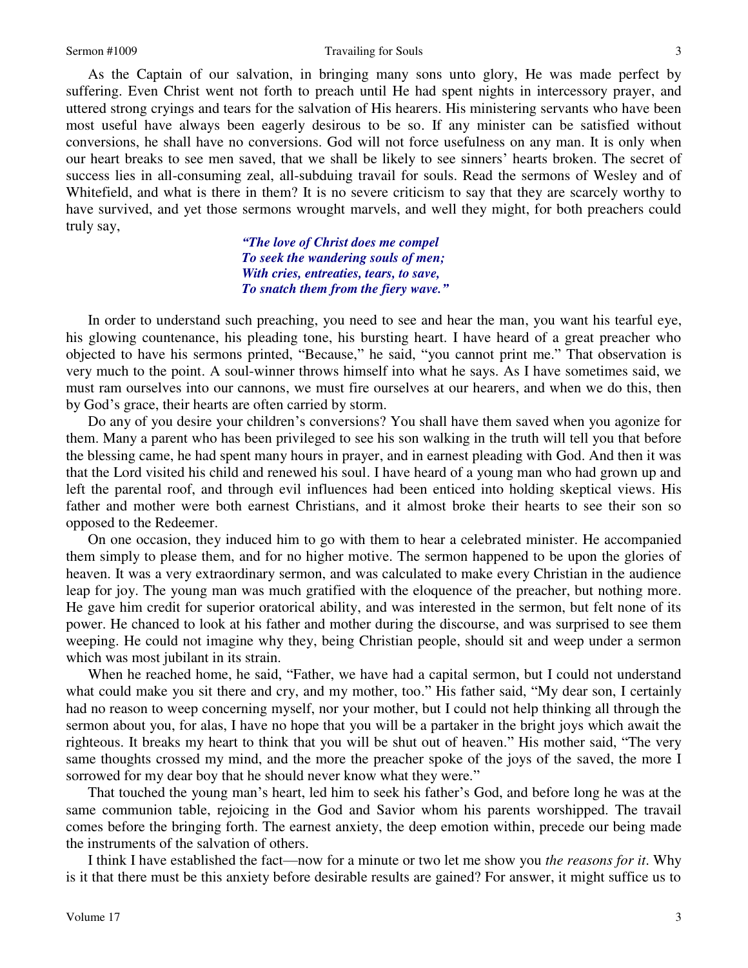As the Captain of our salvation, in bringing many sons unto glory, He was made perfect by suffering. Even Christ went not forth to preach until He had spent nights in intercessory prayer, and uttered strong cryings and tears for the salvation of His hearers. His ministering servants who have been most useful have always been eagerly desirous to be so. If any minister can be satisfied without conversions, he shall have no conversions. God will not force usefulness on any man. It is only when our heart breaks to see men saved, that we shall be likely to see sinners' hearts broken. The secret of success lies in all-consuming zeal, all-subduing travail for souls. Read the sermons of Wesley and of Whitefield, and what is there in them? It is no severe criticism to say that they are scarcely worthy to have survived, and yet those sermons wrought marvels, and well they might, for both preachers could truly say,

> *"The love of Christ does me compel To seek the wandering souls of men; With cries, entreaties, tears, to save, To snatch them from the fiery wave."*

In order to understand such preaching, you need to see and hear the man, you want his tearful eye, his glowing countenance, his pleading tone, his bursting heart. I have heard of a great preacher who objected to have his sermons printed, "Because," he said, "you cannot print me." That observation is very much to the point. A soul-winner throws himself into what he says. As I have sometimes said, we must ram ourselves into our cannons, we must fire ourselves at our hearers, and when we do this, then by God's grace, their hearts are often carried by storm.

Do any of you desire your children's conversions? You shall have them saved when you agonize for them. Many a parent who has been privileged to see his son walking in the truth will tell you that before the blessing came, he had spent many hours in prayer, and in earnest pleading with God. And then it was that the Lord visited his child and renewed his soul. I have heard of a young man who had grown up and left the parental roof, and through evil influences had been enticed into holding skeptical views. His father and mother were both earnest Christians, and it almost broke their hearts to see their son so opposed to the Redeemer.

On one occasion, they induced him to go with them to hear a celebrated minister. He accompanied them simply to please them, and for no higher motive. The sermon happened to be upon the glories of heaven. It was a very extraordinary sermon, and was calculated to make every Christian in the audience leap for joy. The young man was much gratified with the eloquence of the preacher, but nothing more. He gave him credit for superior oratorical ability, and was interested in the sermon, but felt none of its power. He chanced to look at his father and mother during the discourse, and was surprised to see them weeping. He could not imagine why they, being Christian people, should sit and weep under a sermon which was most jubilant in its strain.

When he reached home, he said, "Father, we have had a capital sermon, but I could not understand what could make you sit there and cry, and my mother, too." His father said, "My dear son, I certainly had no reason to weep concerning myself, nor your mother, but I could not help thinking all through the sermon about you, for alas, I have no hope that you will be a partaker in the bright joys which await the righteous. It breaks my heart to think that you will be shut out of heaven." His mother said, "The very same thoughts crossed my mind, and the more the preacher spoke of the joys of the saved, the more I sorrowed for my dear boy that he should never know what they were."

That touched the young man's heart, led him to seek his father's God, and before long he was at the same communion table, rejoicing in the God and Savior whom his parents worshipped. The travail comes before the bringing forth. The earnest anxiety, the deep emotion within, precede our being made the instruments of the salvation of others.

I think I have established the fact—now for a minute or two let me show you *the reasons for it*. Why is it that there must be this anxiety before desirable results are gained? For answer, it might suffice us to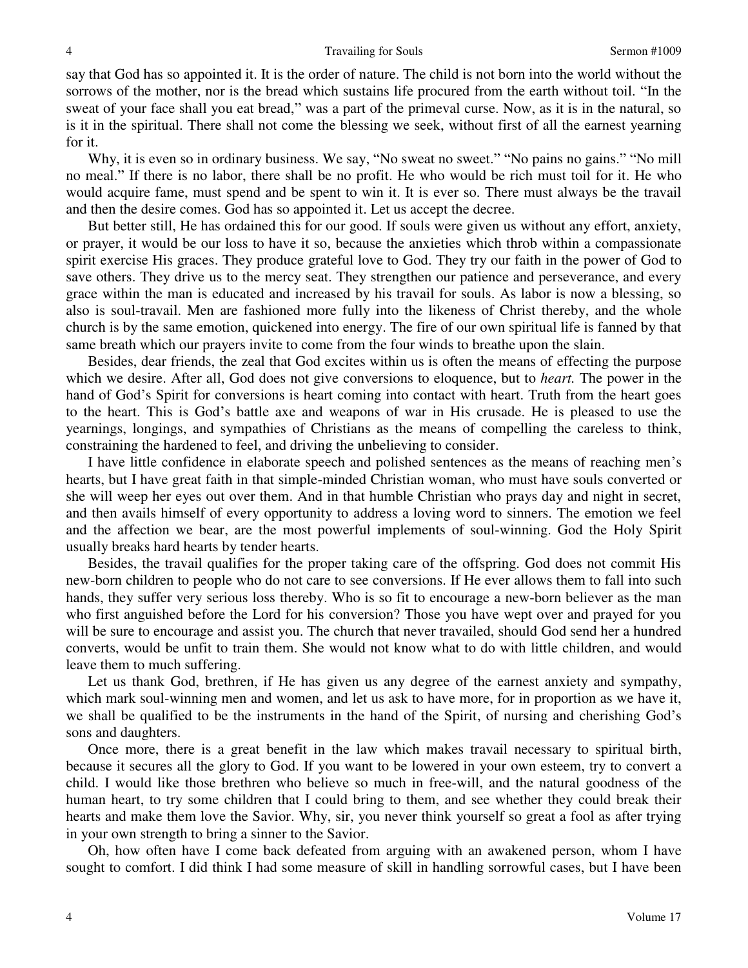say that God has so appointed it. It is the order of nature. The child is not born into the world without the sorrows of the mother, nor is the bread which sustains life procured from the earth without toil. "In the sweat of your face shall you eat bread," was a part of the primeval curse. Now, as it is in the natural, so is it in the spiritual. There shall not come the blessing we seek, without first of all the earnest yearning for it.

Why, it is even so in ordinary business. We say, "No sweat no sweet." "No pains no gains." "No mill no meal." If there is no labor, there shall be no profit. He who would be rich must toil for it. He who would acquire fame, must spend and be spent to win it. It is ever so. There must always be the travail and then the desire comes. God has so appointed it. Let us accept the decree.

But better still, He has ordained this for our good. If souls were given us without any effort, anxiety, or prayer, it would be our loss to have it so, because the anxieties which throb within a compassionate spirit exercise His graces. They produce grateful love to God. They try our faith in the power of God to save others. They drive us to the mercy seat. They strengthen our patience and perseverance, and every grace within the man is educated and increased by his travail for souls. As labor is now a blessing, so also is soul-travail. Men are fashioned more fully into the likeness of Christ thereby, and the whole church is by the same emotion, quickened into energy. The fire of our own spiritual life is fanned by that same breath which our prayers invite to come from the four winds to breathe upon the slain.

Besides, dear friends, the zeal that God excites within us is often the means of effecting the purpose which we desire. After all, God does not give conversions to eloquence, but to *heart.* The power in the hand of God's Spirit for conversions is heart coming into contact with heart. Truth from the heart goes to the heart. This is God's battle axe and weapons of war in His crusade. He is pleased to use the yearnings, longings, and sympathies of Christians as the means of compelling the careless to think, constraining the hardened to feel, and driving the unbelieving to consider.

I have little confidence in elaborate speech and polished sentences as the means of reaching men's hearts, but I have great faith in that simple-minded Christian woman, who must have souls converted or she will weep her eyes out over them. And in that humble Christian who prays day and night in secret, and then avails himself of every opportunity to address a loving word to sinners. The emotion we feel and the affection we bear, are the most powerful implements of soul-winning. God the Holy Spirit usually breaks hard hearts by tender hearts.

Besides, the travail qualifies for the proper taking care of the offspring. God does not commit His new-born children to people who do not care to see conversions. If He ever allows them to fall into such hands, they suffer very serious loss thereby. Who is so fit to encourage a new-born believer as the man who first anguished before the Lord for his conversion? Those you have wept over and prayed for you will be sure to encourage and assist you. The church that never travailed, should God send her a hundred converts, would be unfit to train them. She would not know what to do with little children, and would leave them to much suffering.

Let us thank God, brethren, if He has given us any degree of the earnest anxiety and sympathy, which mark soul-winning men and women, and let us ask to have more, for in proportion as we have it, we shall be qualified to be the instruments in the hand of the Spirit, of nursing and cherishing God's sons and daughters.

Once more, there is a great benefit in the law which makes travail necessary to spiritual birth, because it secures all the glory to God. If you want to be lowered in your own esteem, try to convert a child. I would like those brethren who believe so much in free-will, and the natural goodness of the human heart, to try some children that I could bring to them, and see whether they could break their hearts and make them love the Savior. Why, sir, you never think yourself so great a fool as after trying in your own strength to bring a sinner to the Savior.

Oh, how often have I come back defeated from arguing with an awakened person, whom I have sought to comfort. I did think I had some measure of skill in handling sorrowful cases, but I have been

4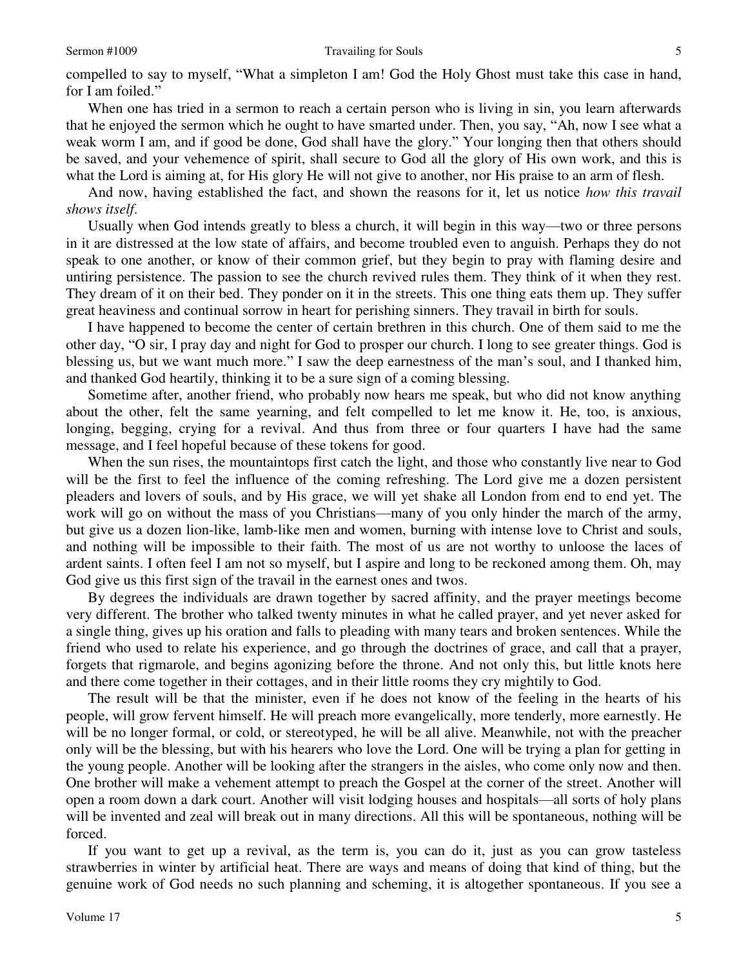compelled to say to myself, "What a simpleton I am! God the Holy Ghost must take this case in hand, for I am foiled."

When one has tried in a sermon to reach a certain person who is living in sin, you learn afterwards that he enjoyed the sermon which he ought to have smarted under. Then, you say, "Ah, now I see what a weak worm I am, and if good be done, God shall have the glory." Your longing then that others should be saved, and your vehemence of spirit, shall secure to God all the glory of His own work, and this is what the Lord is aiming at, for His glory He will not give to another, nor His praise to an arm of flesh.

And now, having established the fact, and shown the reasons for it, let us notice *how this travail shows itself*.

Usually when God intends greatly to bless a church, it will begin in this way—two or three persons in it are distressed at the low state of affairs, and become troubled even to anguish. Perhaps they do not speak to one another, or know of their common grief, but they begin to pray with flaming desire and untiring persistence. The passion to see the church revived rules them. They think of it when they rest. They dream of it on their bed. They ponder on it in the streets. This one thing eats them up. They suffer great heaviness and continual sorrow in heart for perishing sinners. They travail in birth for souls.

I have happened to become the center of certain brethren in this church. One of them said to me the other day, "O sir, I pray day and night for God to prosper our church. I long to see greater things. God is blessing us, but we want much more." I saw the deep earnestness of the man's soul, and I thanked him, and thanked God heartily, thinking it to be a sure sign of a coming blessing.

Sometime after, another friend, who probably now hears me speak, but who did not know anything about the other, felt the same yearning, and felt compelled to let me know it. He, too, is anxious, longing, begging, crying for a revival. And thus from three or four quarters I have had the same message, and I feel hopeful because of these tokens for good.

When the sun rises, the mountaintops first catch the light, and those who constantly live near to God will be the first to feel the influence of the coming refreshing. The Lord give me a dozen persistent pleaders and lovers of souls, and by His grace, we will yet shake all London from end to end yet. The work will go on without the mass of you Christians—many of you only hinder the march of the army, but give us a dozen lion-like, lamb-like men and women, burning with intense love to Christ and souls, and nothing will be impossible to their faith. The most of us are not worthy to unloose the laces of ardent saints. I often feel I am not so myself, but I aspire and long to be reckoned among them. Oh, may God give us this first sign of the travail in the earnest ones and twos.

By degrees the individuals are drawn together by sacred affinity, and the prayer meetings become very different. The brother who talked twenty minutes in what he called prayer, and yet never asked for a single thing, gives up his oration and falls to pleading with many tears and broken sentences. While the friend who used to relate his experience, and go through the doctrines of grace, and call that a prayer, forgets that rigmarole, and begins agonizing before the throne. And not only this, but little knots here and there come together in their cottages, and in their little rooms they cry mightily to God.

The result will be that the minister, even if he does not know of the feeling in the hearts of his people, will grow fervent himself. He will preach more evangelically, more tenderly, more earnestly. He will be no longer formal, or cold, or stereotyped, he will be all alive. Meanwhile, not with the preacher only will be the blessing, but with his hearers who love the Lord. One will be trying a plan for getting in the young people. Another will be looking after the strangers in the aisles, who come only now and then. One brother will make a vehement attempt to preach the Gospel at the corner of the street. Another will open a room down a dark court. Another will visit lodging houses and hospitals—all sorts of holy plans will be invented and zeal will break out in many directions. All this will be spontaneous, nothing will be forced.

If you want to get up a revival, as the term is, you can do it, just as you can grow tasteless strawberries in winter by artificial heat. There are ways and means of doing that kind of thing, but the genuine work of God needs no such planning and scheming, it is altogether spontaneous. If you see a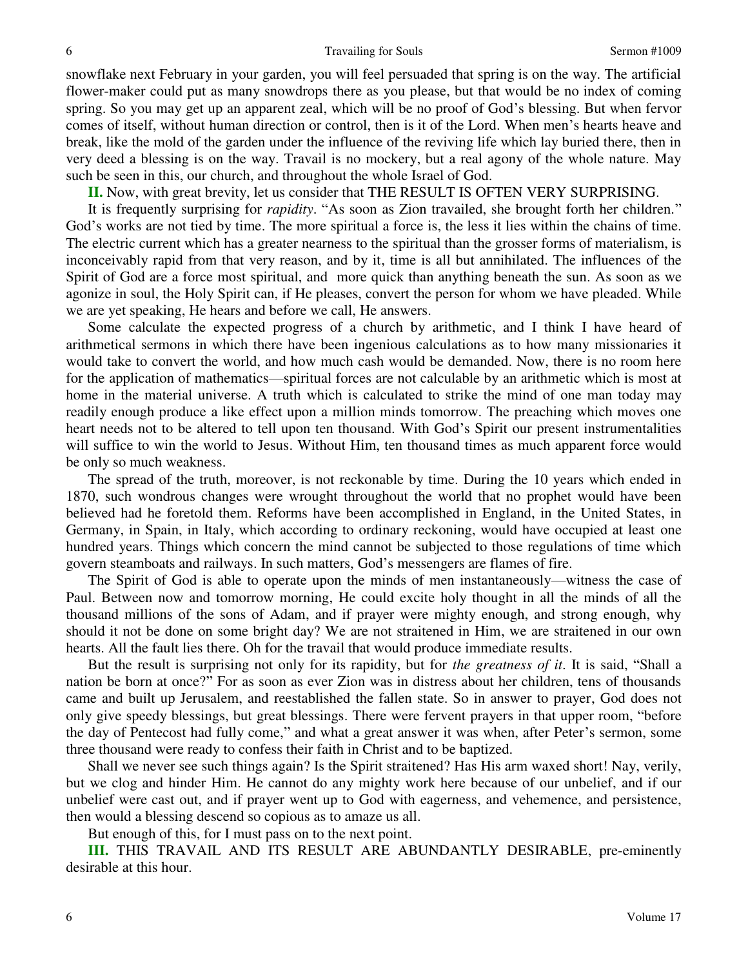snowflake next February in your garden, you will feel persuaded that spring is on the way. The artificial flower-maker could put as many snowdrops there as you please, but that would be no index of coming spring. So you may get up an apparent zeal, which will be no proof of God's blessing. But when fervor comes of itself, without human direction or control, then is it of the Lord. When men's hearts heave and break, like the mold of the garden under the influence of the reviving life which lay buried there, then in very deed a blessing is on the way. Travail is no mockery, but a real agony of the whole nature. May such be seen in this, our church, and throughout the whole Israel of God.

**II.** Now, with great brevity, let us consider that THE RESULT IS OFTEN VERY SURPRISING.

It is frequently surprising for *rapidity*. "As soon as Zion travailed, she brought forth her children." God's works are not tied by time. The more spiritual a force is, the less it lies within the chains of time. The electric current which has a greater nearness to the spiritual than the grosser forms of materialism, is inconceivably rapid from that very reason, and by it, time is all but annihilated. The influences of the Spirit of God are a force most spiritual, and more quick than anything beneath the sun. As soon as we agonize in soul, the Holy Spirit can, if He pleases, convert the person for whom we have pleaded. While we are yet speaking, He hears and before we call, He answers.

Some calculate the expected progress of a church by arithmetic, and I think I have heard of arithmetical sermons in which there have been ingenious calculations as to how many missionaries it would take to convert the world, and how much cash would be demanded. Now, there is no room here for the application of mathematics—spiritual forces are not calculable by an arithmetic which is most at home in the material universe. A truth which is calculated to strike the mind of one man today may readily enough produce a like effect upon a million minds tomorrow. The preaching which moves one heart needs not to be altered to tell upon ten thousand. With God's Spirit our present instrumentalities will suffice to win the world to Jesus. Without Him, ten thousand times as much apparent force would be only so much weakness.

The spread of the truth, moreover, is not reckonable by time. During the 10 years which ended in 1870, such wondrous changes were wrought throughout the world that no prophet would have been believed had he foretold them. Reforms have been accomplished in England, in the United States, in Germany, in Spain, in Italy, which according to ordinary reckoning, would have occupied at least one hundred years. Things which concern the mind cannot be subjected to those regulations of time which govern steamboats and railways. In such matters, God's messengers are flames of fire.

The Spirit of God is able to operate upon the minds of men instantaneously—witness the case of Paul. Between now and tomorrow morning, He could excite holy thought in all the minds of all the thousand millions of the sons of Adam, and if prayer were mighty enough, and strong enough, why should it not be done on some bright day? We are not straitened in Him, we are straitened in our own hearts. All the fault lies there. Oh for the travail that would produce immediate results.

But the result is surprising not only for its rapidity, but for *the greatness of it*. It is said, "Shall a nation be born at once?" For as soon as ever Zion was in distress about her children, tens of thousands came and built up Jerusalem, and reestablished the fallen state. So in answer to prayer, God does not only give speedy blessings, but great blessings. There were fervent prayers in that upper room, "before the day of Pentecost had fully come," and what a great answer it was when, after Peter's sermon, some three thousand were ready to confess their faith in Christ and to be baptized.

Shall we never see such things again? Is the Spirit straitened? Has His arm waxed short! Nay, verily, but we clog and hinder Him. He cannot do any mighty work here because of our unbelief, and if our unbelief were cast out, and if prayer went up to God with eagerness, and vehemence, and persistence, then would a blessing descend so copious as to amaze us all.

But enough of this, for I must pass on to the next point.

**III.** THIS TRAVAIL AND ITS RESULT ARE ABUNDANTLY DESIRABLE, pre-eminently desirable at this hour.

6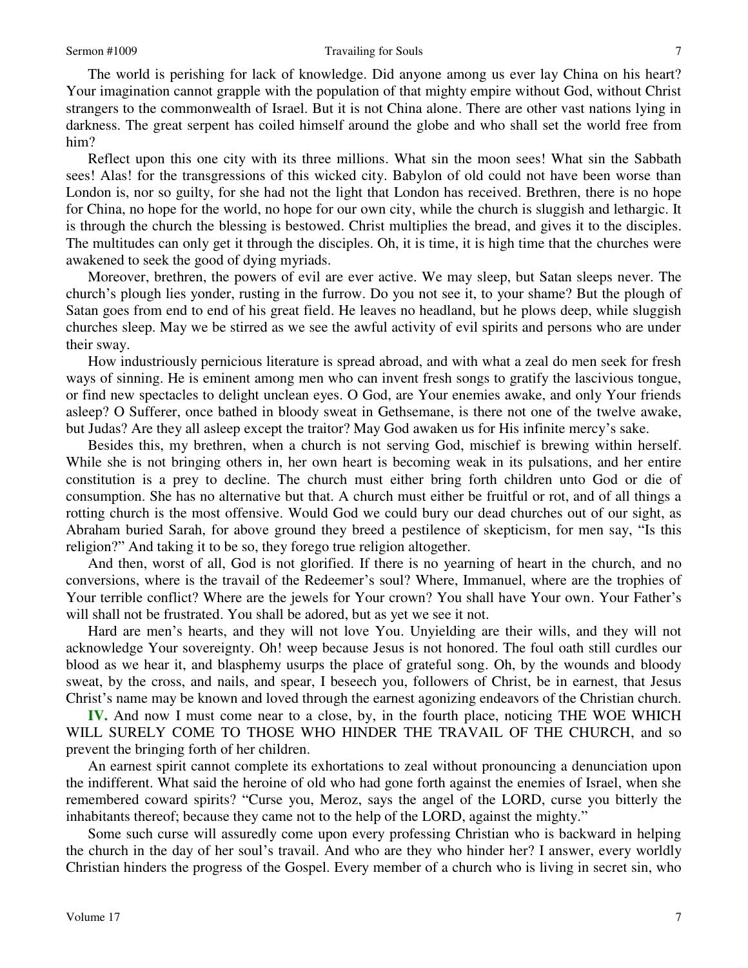#### Sermon #1009 Travailing for Souls

The world is perishing for lack of knowledge. Did anyone among us ever lay China on his heart? Your imagination cannot grapple with the population of that mighty empire without God, without Christ strangers to the commonwealth of Israel. But it is not China alone. There are other vast nations lying in darkness. The great serpent has coiled himself around the globe and who shall set the world free from him?

Reflect upon this one city with its three millions. What sin the moon sees! What sin the Sabbath sees! Alas! for the transgressions of this wicked city. Babylon of old could not have been worse than London is, nor so guilty, for she had not the light that London has received. Brethren, there is no hope for China, no hope for the world, no hope for our own city, while the church is sluggish and lethargic. It is through the church the blessing is bestowed. Christ multiplies the bread, and gives it to the disciples. The multitudes can only get it through the disciples. Oh, it is time, it is high time that the churches were awakened to seek the good of dying myriads.

Moreover, brethren, the powers of evil are ever active. We may sleep, but Satan sleeps never. The church's plough lies yonder, rusting in the furrow. Do you not see it, to your shame? But the plough of Satan goes from end to end of his great field. He leaves no headland, but he plows deep, while sluggish churches sleep. May we be stirred as we see the awful activity of evil spirits and persons who are under their sway.

How industriously pernicious literature is spread abroad, and with what a zeal do men seek for fresh ways of sinning. He is eminent among men who can invent fresh songs to gratify the lascivious tongue, or find new spectacles to delight unclean eyes. O God, are Your enemies awake, and only Your friends asleep? O Sufferer, once bathed in bloody sweat in Gethsemane, is there not one of the twelve awake, but Judas? Are they all asleep except the traitor? May God awaken us for His infinite mercy's sake.

Besides this, my brethren, when a church is not serving God, mischief is brewing within herself. While she is not bringing others in, her own heart is becoming weak in its pulsations, and her entire constitution is a prey to decline. The church must either bring forth children unto God or die of consumption. She has no alternative but that. A church must either be fruitful or rot, and of all things a rotting church is the most offensive. Would God we could bury our dead churches out of our sight, as Abraham buried Sarah, for above ground they breed a pestilence of skepticism, for men say, "Is this religion?" And taking it to be so, they forego true religion altogether.

And then, worst of all, God is not glorified. If there is no yearning of heart in the church, and no conversions, where is the travail of the Redeemer's soul? Where, Immanuel, where are the trophies of Your terrible conflict? Where are the jewels for Your crown? You shall have Your own. Your Father's will shall not be frustrated. You shall be adored, but as yet we see it not.

Hard are men's hearts, and they will not love You. Unyielding are their wills, and they will not acknowledge Your sovereignty. Oh! weep because Jesus is not honored. The foul oath still curdles our blood as we hear it, and blasphemy usurps the place of grateful song. Oh, by the wounds and bloody sweat, by the cross, and nails, and spear, I beseech you, followers of Christ, be in earnest, that Jesus Christ's name may be known and loved through the earnest agonizing endeavors of the Christian church.

**IV.** And now I must come near to a close, by, in the fourth place, noticing THE WOE WHICH WILL SURELY COME TO THOSE WHO HINDER THE TRAVAIL OF THE CHURCH, and so prevent the bringing forth of her children.

An earnest spirit cannot complete its exhortations to zeal without pronouncing a denunciation upon the indifferent. What said the heroine of old who had gone forth against the enemies of Israel, when she remembered coward spirits? "Curse you, Meroz, says the angel of the LORD, curse you bitterly the inhabitants thereof; because they came not to the help of the LORD, against the mighty."

Some such curse will assuredly come upon every professing Christian who is backward in helping the church in the day of her soul's travail. And who are they who hinder her? I answer, every worldly Christian hinders the progress of the Gospel. Every member of a church who is living in secret sin, who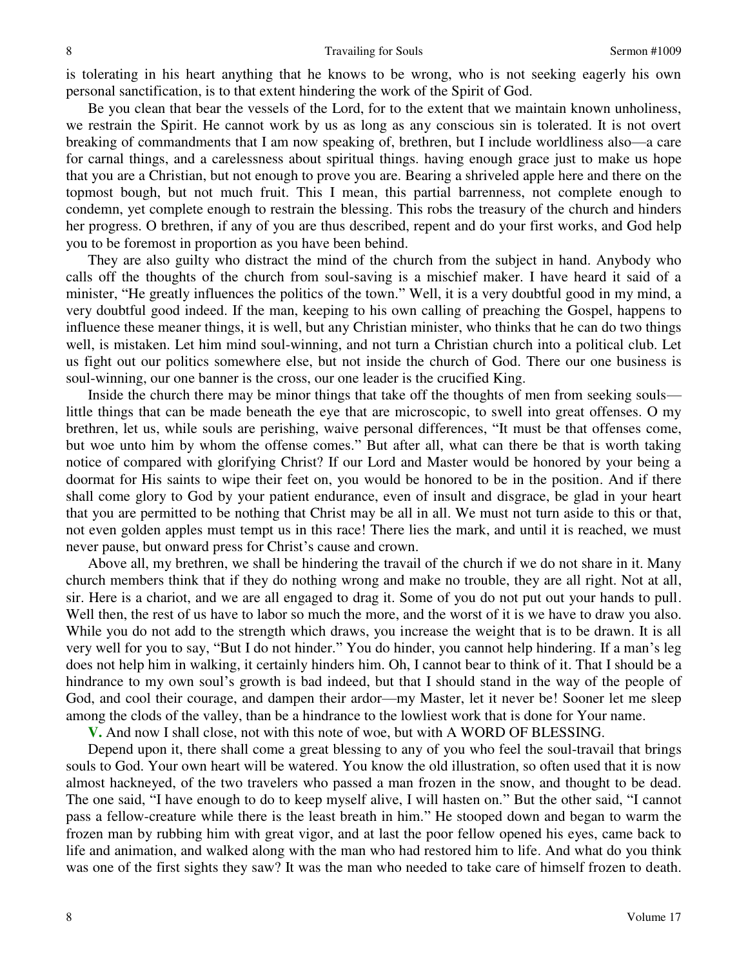is tolerating in his heart anything that he knows to be wrong, who is not seeking eagerly his own personal sanctification, is to that extent hindering the work of the Spirit of God.

Be you clean that bear the vessels of the Lord, for to the extent that we maintain known unholiness, we restrain the Spirit. He cannot work by us as long as any conscious sin is tolerated. It is not overt breaking of commandments that I am now speaking of, brethren, but I include worldliness also—a care for carnal things, and a carelessness about spiritual things. having enough grace just to make us hope that you are a Christian, but not enough to prove you are. Bearing a shriveled apple here and there on the topmost bough, but not much fruit. This I mean, this partial barrenness, not complete enough to condemn, yet complete enough to restrain the blessing. This robs the treasury of the church and hinders her progress. O brethren, if any of you are thus described, repent and do your first works, and God help you to be foremost in proportion as you have been behind.

They are also guilty who distract the mind of the church from the subject in hand. Anybody who calls off the thoughts of the church from soul-saving is a mischief maker. I have heard it said of a minister, "He greatly influences the politics of the town." Well, it is a very doubtful good in my mind, a very doubtful good indeed. If the man, keeping to his own calling of preaching the Gospel, happens to influence these meaner things, it is well, but any Christian minister, who thinks that he can do two things well, is mistaken. Let him mind soul-winning, and not turn a Christian church into a political club. Let us fight out our politics somewhere else, but not inside the church of God. There our one business is soul-winning, our one banner is the cross, our one leader is the crucified King.

Inside the church there may be minor things that take off the thoughts of men from seeking souls little things that can be made beneath the eye that are microscopic, to swell into great offenses. O my brethren, let us, while souls are perishing, waive personal differences, "It must be that offenses come, but woe unto him by whom the offense comes." But after all, what can there be that is worth taking notice of compared with glorifying Christ? If our Lord and Master would be honored by your being a doormat for His saints to wipe their feet on, you would be honored to be in the position. And if there shall come glory to God by your patient endurance, even of insult and disgrace, be glad in your heart that you are permitted to be nothing that Christ may be all in all. We must not turn aside to this or that, not even golden apples must tempt us in this race! There lies the mark, and until it is reached, we must never pause, but onward press for Christ's cause and crown.

Above all, my brethren, we shall be hindering the travail of the church if we do not share in it. Many church members think that if they do nothing wrong and make no trouble, they are all right. Not at all, sir. Here is a chariot, and we are all engaged to drag it. Some of you do not put out your hands to pull. Well then, the rest of us have to labor so much the more, and the worst of it is we have to draw you also. While you do not add to the strength which draws, you increase the weight that is to be drawn. It is all very well for you to say, "But I do not hinder." You do hinder, you cannot help hindering. If a man's leg does not help him in walking, it certainly hinders him. Oh, I cannot bear to think of it. That I should be a hindrance to my own soul's growth is bad indeed, but that I should stand in the way of the people of God, and cool their courage, and dampen their ardor—my Master, let it never be! Sooner let me sleep among the clods of the valley, than be a hindrance to the lowliest work that is done for Your name.

**V.** And now I shall close, not with this note of woe, but with A WORD OF BLESSING.

Depend upon it, there shall come a great blessing to any of you who feel the soul-travail that brings souls to God. Your own heart will be watered. You know the old illustration, so often used that it is now almost hackneyed, of the two travelers who passed a man frozen in the snow, and thought to be dead. The one said, "I have enough to do to keep myself alive, I will hasten on." But the other said, "I cannot pass a fellow-creature while there is the least breath in him." He stooped down and began to warm the frozen man by rubbing him with great vigor, and at last the poor fellow opened his eyes, came back to life and animation, and walked along with the man who had restored him to life. And what do you think was one of the first sights they saw? It was the man who needed to take care of himself frozen to death.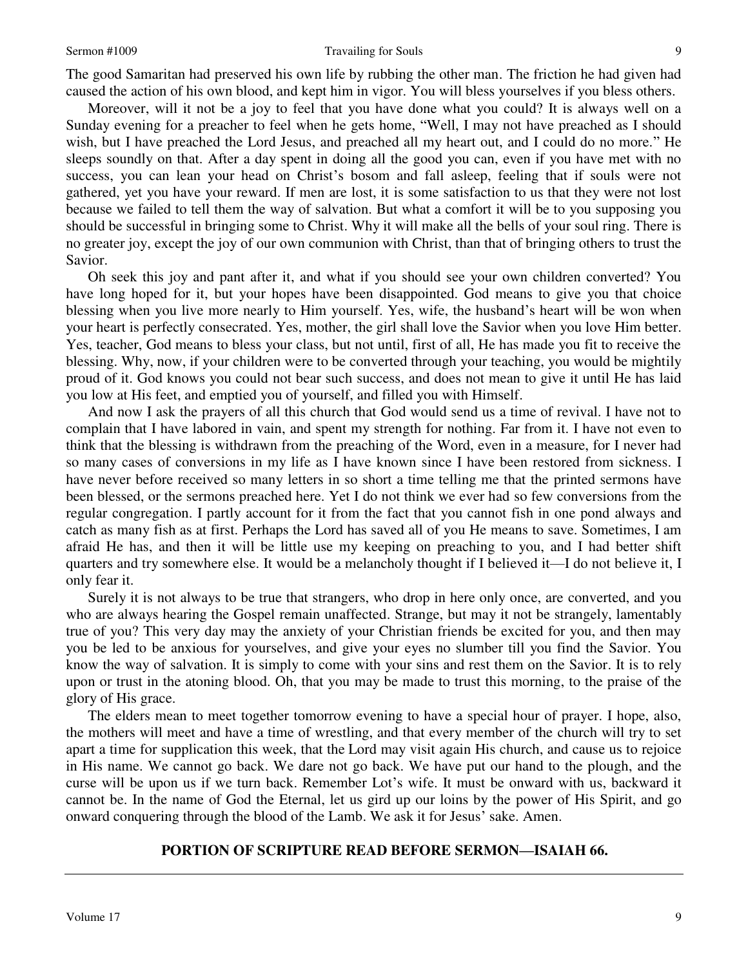#### Sermon #1009 Travailing for Souls

The good Samaritan had preserved his own life by rubbing the other man. The friction he had given had caused the action of his own blood, and kept him in vigor. You will bless yourselves if you bless others.

Moreover, will it not be a joy to feel that you have done what you could? It is always well on a Sunday evening for a preacher to feel when he gets home, "Well, I may not have preached as I should wish, but I have preached the Lord Jesus, and preached all my heart out, and I could do no more." He sleeps soundly on that. After a day spent in doing all the good you can, even if you have met with no success, you can lean your head on Christ's bosom and fall asleep, feeling that if souls were not gathered, yet you have your reward. If men are lost, it is some satisfaction to us that they were not lost because we failed to tell them the way of salvation. But what a comfort it will be to you supposing you should be successful in bringing some to Christ. Why it will make all the bells of your soul ring. There is no greater joy, except the joy of our own communion with Christ, than that of bringing others to trust the Savior.

Oh seek this joy and pant after it, and what if you should see your own children converted? You have long hoped for it, but your hopes have been disappointed. God means to give you that choice blessing when you live more nearly to Him yourself. Yes, wife, the husband's heart will be won when your heart is perfectly consecrated. Yes, mother, the girl shall love the Savior when you love Him better. Yes, teacher, God means to bless your class, but not until, first of all, He has made you fit to receive the blessing. Why, now, if your children were to be converted through your teaching, you would be mightily proud of it. God knows you could not bear such success, and does not mean to give it until He has laid you low at His feet, and emptied you of yourself, and filled you with Himself.

And now I ask the prayers of all this church that God would send us a time of revival. I have not to complain that I have labored in vain, and spent my strength for nothing. Far from it. I have not even to think that the blessing is withdrawn from the preaching of the Word, even in a measure, for I never had so many cases of conversions in my life as I have known since I have been restored from sickness. I have never before received so many letters in so short a time telling me that the printed sermons have been blessed, or the sermons preached here. Yet I do not think we ever had so few conversions from the regular congregation. I partly account for it from the fact that you cannot fish in one pond always and catch as many fish as at first. Perhaps the Lord has saved all of you He means to save. Sometimes, I am afraid He has, and then it will be little use my keeping on preaching to you, and I had better shift quarters and try somewhere else. It would be a melancholy thought if I believed it—I do not believe it, I only fear it.

Surely it is not always to be true that strangers, who drop in here only once, are converted, and you who are always hearing the Gospel remain unaffected. Strange, but may it not be strangely, lamentably true of you? This very day may the anxiety of your Christian friends be excited for you, and then may you be led to be anxious for yourselves, and give your eyes no slumber till you find the Savior. You know the way of salvation. It is simply to come with your sins and rest them on the Savior. It is to rely upon or trust in the atoning blood. Oh, that you may be made to trust this morning, to the praise of the glory of His grace.

The elders mean to meet together tomorrow evening to have a special hour of prayer. I hope, also, the mothers will meet and have a time of wrestling, and that every member of the church will try to set apart a time for supplication this week, that the Lord may visit again His church, and cause us to rejoice in His name. We cannot go back. We dare not go back. We have put our hand to the plough, and the curse will be upon us if we turn back. Remember Lot's wife. It must be onward with us, backward it cannot be. In the name of God the Eternal, let us gird up our loins by the power of His Spirit, and go onward conquering through the blood of the Lamb. We ask it for Jesus' sake. Amen.

## **PORTION OF SCRIPTURE READ BEFORE SERMON—ISAIAH 66.**